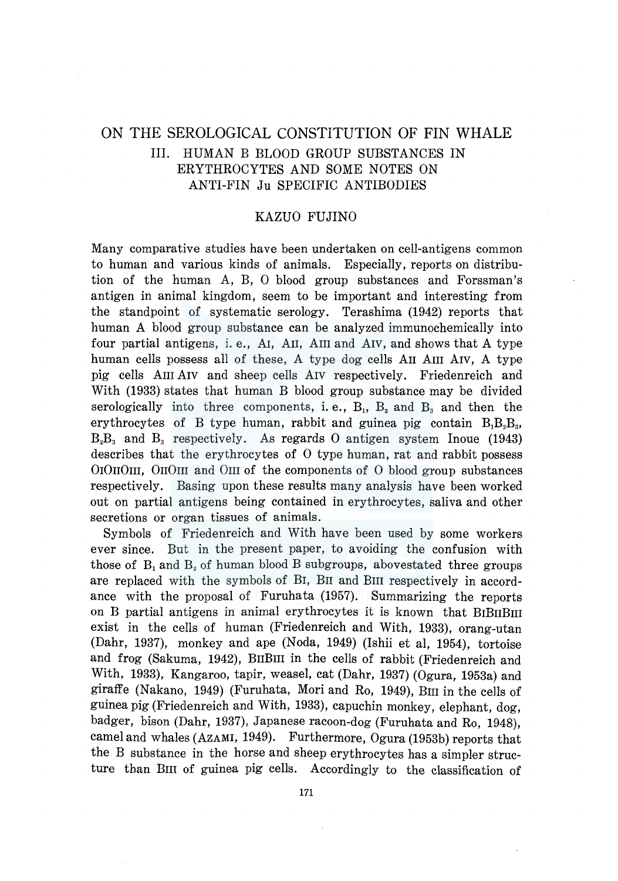# ON THE SEROLOGICAL CONSTITUTION OF FIN WHALE III. HUMAN B BLOOD GROUP SUBSTANCES IN ERYTHROCYTES AND SOME NOTES ON ANTI-FIN Ju SPECIFIC ANTIBODIES

## KAZUO FUJINO

Many comparative studies have been undertaken on cell-antigens common to human and various kinds of animals. Especially, reports on distribution of the human A, B, 0 blood group substances and Forssman's antigen in animal kingdom, seem to be important and interesting from the standpoint of systematic serology. Terashima (1942) reports that human A blood group substance can be analyzed immunochemically into four partial antigens, i.e., AI, AII, AIII and AIV, and shows that A type human cells possess all of these, A type dog cells AII AIII AIV, A type pig cells AIII AIV and sheep cells AIV respectively. Friedenreich and With (1933) states that human B blood group substance may be divided serologically into three components, i.e.,  $B_1$ ,  $B_2$  and  $B_3$  and then the erythrocytes of B type human, rabbit and guinea pig contain  $B_1B_2B_3$ ,  $B_2B_3$  and  $B_3$  respectively. As regards 0 antigen system Inoue (1943) describes that the erythrocytes of 0 type human, rat and rabbit possess OIO $1011$ , OIIOIII and OIII of the components of O blood group substances respectively. Basing upon these results many analysis have been worked out on partial antigens being contained in erythrocytes, saliva and other secretions or organ tissues of animals.

Symbols of Friedenreich and With have been used by some workers ever since. But in the present paper, to avoiding the confusion with those of  $B_1$  and  $B_2$  of human blood B subgroups, above stated three groups are replaced with the symbols of BI, BII and BIII respectively in accordance with the proposal of Furuhata (1957). Summarizing the reports on B partial antigens in animal erythrocytes it is known that BIBIIBIII exist in the cells of human (Friedenreich and With, 1933), orang-utan (Dahr, 1937), monkey and ape (Noda, 1949) (Ishii et al, 1954), tortoise and frog (Sakuma, 1942), BIIBIII in the cells of rabbit (Friedenreich and With, 1933), Kangaroo, tapir, weasel, cat (Dahr, 1937) (Ogura, 1953a) and giraffe (Nakano, 1949) (Furuhata, Mori and Ro, 1949), Bm in the cells of guinea pig (Friedenreich and With, 1933), capuchin monkey, elephant, dog, badger, bison (Dahr, 1937), Japanese racoon-dog (Furuhata and Ro, 1948), camel and whales (AZAMI, 1949). Furthermore, Ogura (1953b) reports that the B substance in the horse and sheep erythrocytes has a simpler structure than BIII of guinea pig cells. Accordingly to the classification of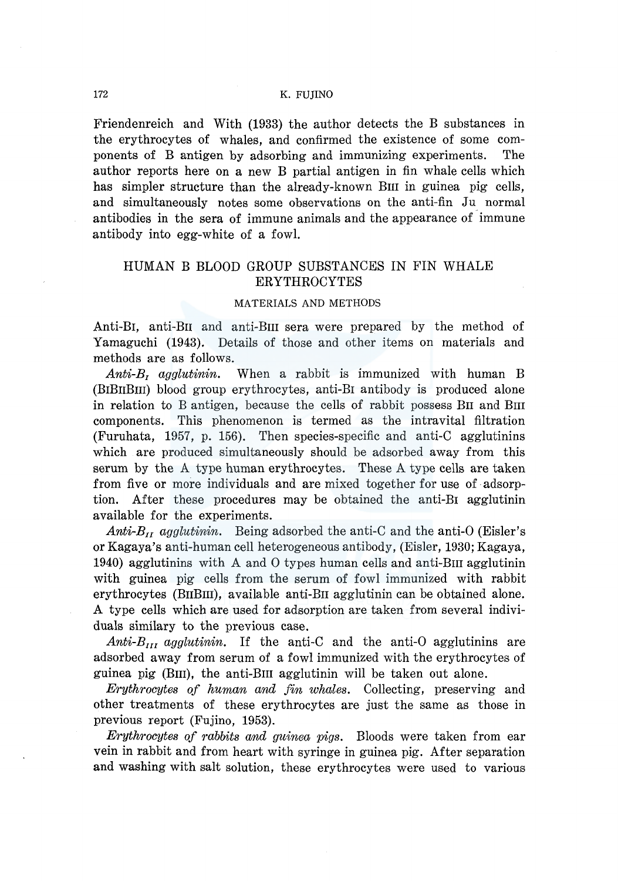Friendenreich and With (1933) the author detects the B substances in the erythrocytes of whales, and confirmed the existence of some components of B antigen by adsorbing and immunizing experiments. The author reports here on a new B partial antigen in fin whale cells which has simpler structure than the already-known BIII in guinea pig cells, and simultaneously notes some observations on the anti-fin Ju normal antibodies in the sera of immune animals and the appearance of immune antibody into egg-white of a fowl.

## HUMAN B BLOOD GROUP SUBSTANCES IN FIN WHALE ERYTHROCYTES

#### MATERIALS AND METHODS

Anti-BI, anti-En and anti-Em sera were prepared by the method of Yamaguchi (1943). Details of those and other items on materials and methods are as follows.

*Anti-B*1 *agglutinin.* When a rabbit is immunized with human B (BIBnBm) blood group erythrocytes, anti-BI antibody is produced alone in relation to B antigen, because the cells of rabbit possess BII and BIII components. This phenomenon is termed as the intravital filtration (Furuhata, 1957, p. 156). Then species-specific and anti-C agglutinins which are produced simultaneously should be adsorbed away from this serum by the A type human erythrocytes. These A type cells are taken from five or more individuals and are mixed together for use of adsorption. After these procedures may be obtained the anti-BI agglutinin available for the experiments.

*Anti-B<sub>II</sub>* agglutinin. Being adsorbed the anti-C and the anti-O (Eisler's or Kagaya's anti-human cell heterogeneous antibody, (Eisler, 1930; Kagaya, 1940) agglutinins with A and 0 types human cells and anti-Em agglutinin with guinea pig cells from the serum of fowl immunized with rabbit erythrocytes (BnBm), available anti-En agglutinin can be obtained alone. A type cells which are used for adsorption are taken from several individuals similary to the previous case.

 $Anti-B_{III}$  agglutinin. If the anti-C and the anti-O agglutinins are adsorbed away from serum of a fowl immunized with the erythrocytes of guinea pig (Bm), the anti-Em agglutinin will be taken out alone.

*Erythrocytes of human and fin whales.* Collecting, preserving and other treatments of these erythrocytes are just the same as those in previous report (Fujino, 1953).

*Erythrocytes of rabbits and guinea pigs.* Bloods were taken from ear vein in rabbit and from heart with syringe in guinea pig. After separation and washing with salt solution, these erythrocytes were used to various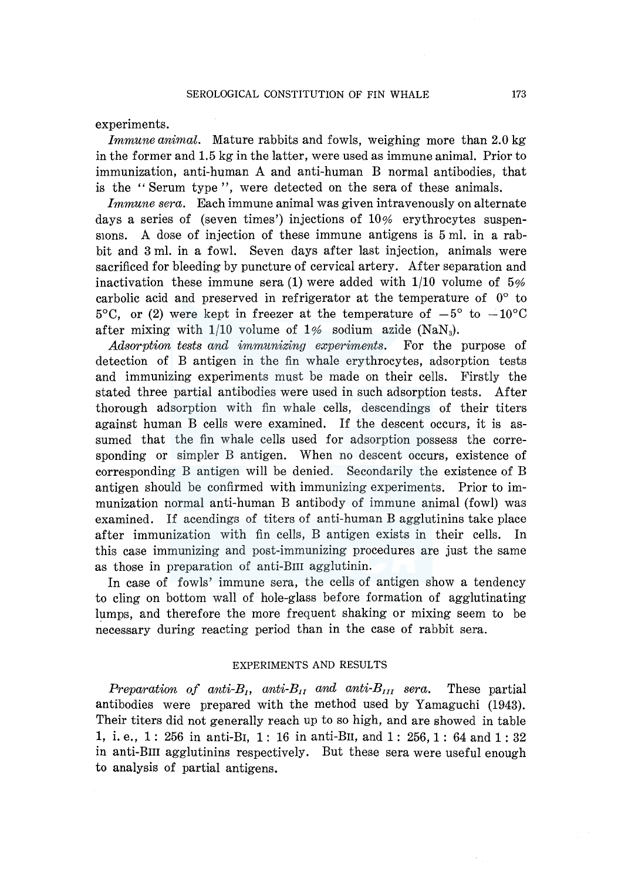experiments.

*Immune animal.* Mature rabbits and fowls, weighing more than 2.0 kg in the former and 1.5 kg in the latter, were used as immune animal. Prior to immunization, anti-human A and anti-human B normal antibodies, that is the '' Serum type '', were detected on the sera of these animals.

*Immune sera.* Each immune animal was given intravenously on alternate days a series of (seven times') injections of  $10\%$  erythrocytes suspenstoms. A dose of injection of these immune antigens is  $5 \text{ ml}$ , in a rabbit and 3 ml. in a fowl. Seven days after last injection, animals were sacrificed for bleeding by puncture of cervical artery. After separation and inactivation these immune sera (1) were added with  $1/10$  volume of 5% carbolic acid and preserved in refrigerator at the temperature of 0° to 5<sup>o</sup>C, or (2) were kept in freezer at the temperature of  $-5^{\circ}$  to  $-10^{\circ}$ C after mixing with  $1/10$  volume of  $1\%$  sodium azide (NaN<sub>3</sub>).

*Adsorption tests and immunizing experiments.* For the purpose of detection of B antigen in the fin whale erythrocytes, adsorption tests and immunizing experiments must be made on their cells. Firstly the stated three partial antibodies were used in such adsorption tests. After thorough adsorption with fin whale cells, descendings of their titers against human B cells were examined. If the descent occurs, it is assumed that the fin whale cells used for adsorption possess the corresponding or simpler B antigen. When no descent occurs, existence of corresponding B antigen will be denied. Secondarily the existence of B antigen should be confirmed with immunizing experiments. Prior to immunization normal anti-human B antibody of immune animal (fowl) was examined. If acendings of titers of anti-human B agglutinins take place after immunization with fin cells, B antigen exists in their cells. In this case immunizing and post-immunizing procedures are just the same as those in preparation of anti-BIII agglutinin.

In case of fowls' immune sera, the cells of antigen show a tendency to cling on bottom wall of hole-glass before formation of agglutinating lumps, and therefore the more frequent shaking or mixing seem to be necessary during reacting period than in the case of rabbit sera.

#### EXPERIMENTS AND RESULTS

*Preparation of anti-B<sub>1</sub>, anti-B<sub>11</sub> and anti-B<sub>111</sub> sera. These partial* antibodies were prepared with the method used by Yamaguchi (1943). Their titers did not generally reach up to so high, and are showed in table 1, i. e., 1: 256 in anti-BI, 1: 16 in anti-Bu, and 1: 256, 1: 64 and 1: 32 in anti-Bm agglutinins respectively. But these sera were useful enough to analysis of partial antigens.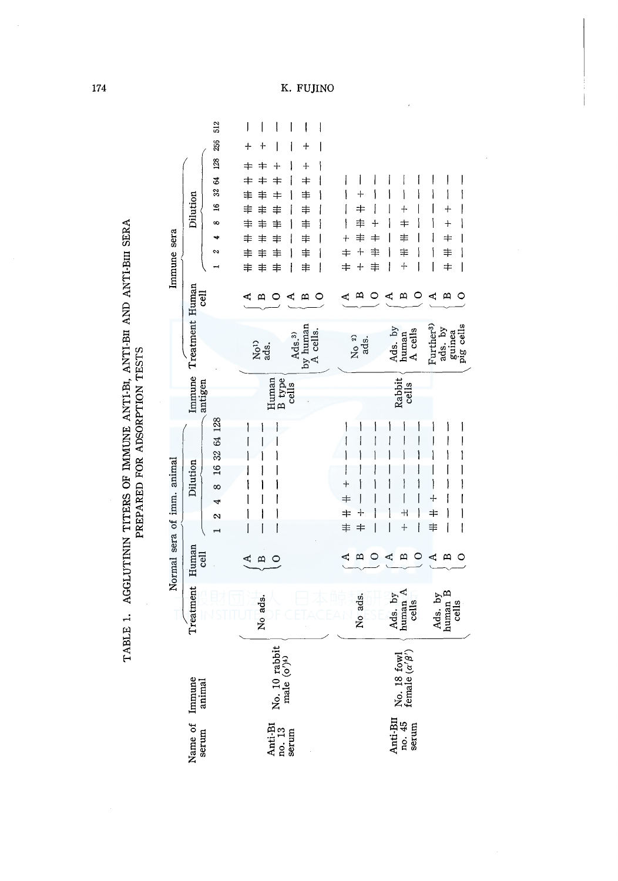| TABLE 1. AGGLUTININ TITERS OF IMMUNE ANTI-B1, ANTI-B11 AND ANTI-B11 SERA |                               |
|--------------------------------------------------------------------------|-------------------------------|
|                                                                          |                               |
|                                                                          |                               |
|                                                                          |                               |
|                                                                          | PREPARED FOR ADSORPTION TESTS |
|                                                                          |                               |
|                                                                          |                               |
|                                                                          |                               |
|                                                                          |                               |

|                                        | 512<br>256<br>128                              | I<br>ļ<br>J<br>$\ddag$<br>$\ddag$<br>キ<br>≠<br>┿                                                      | I<br>I<br>l<br>┿<br>$\ddot{}$                                                      |                                                                                                                                                    |                                                                                 |                                                                                                                |
|----------------------------------------|------------------------------------------------|-------------------------------------------------------------------------------------------------------|------------------------------------------------------------------------------------|----------------------------------------------------------------------------------------------------------------------------------------------------|---------------------------------------------------------------------------------|----------------------------------------------------------------------------------------------------------------|
| Dilution<br>Immune sera                | \$<br>32<br>$\mathfrak{g}$<br>∞<br>۰<br>∾<br>⊣ | ≠<br>╪<br>╪<br>≢<br>≢<br>≠<br>≢<br>≢<br>≢<br>丰<br>≢<br>≢<br>≢<br>≢<br>丰<br>≢<br>≢<br>≢<br>≢<br>≢<br>≢ | l<br>$\ddagger$<br>١<br>≢<br>$\ddagger$<br>$\ddagger$<br>丰<br>$\ddagger$<br>i<br>≢ | I<br>I<br>۱<br>$\hspace{0.1mm} +$<br>I<br>丰<br>丰<br>ł<br>┿<br>丰<br>$\pm$<br>$\ddagger$<br>丰<br>$\ddot{}$<br>╪<br>$\ddagger$<br>$\bm{\dagger}$<br>╉ | Į<br>١<br>$+$<br>≠<br>≢<br>≢<br>$\ddot{}$<br>I                                  | $\overline{\phantom{a}}$<br>I<br>ł<br>I<br>I<br>$\ddag$<br>ì<br>$\bm{+}$<br>$\pm$<br>≢<br>$\ddagger$<br>I<br>I |
| <b>Tej</b>                             |                                                | മ                                                                                                     | ረ<br>m<br>0                                                                        |                                                                                                                                                    | ረ<br>മ                                                                          | ≏<br>C                                                                                                         |
| Immune Treatment Human                 |                                                | No <sup>1</sup> )<br>ads.                                                                             | $AdS3$ , $by$ human<br>A cells.                                                    | $N_0$ 2)<br>ads.                                                                                                                                   | Ads. by<br>human<br>A cells                                                     | ads. by<br>guinea<br>pig cells<br>Further <sup>3)</sup>                                                        |
| antigen                                |                                                | Human<br><b>B</b> type                                                                                | cells                                                                              |                                                                                                                                                    | Rabbit<br>cells                                                                 |                                                                                                                |
| Normal sera of imm. animal<br>Dilution | 16 32 64 128<br>∞<br>4<br>2<br>÷,              | ĺ<br>Í<br>ľ<br>ľ                                                                                      |                                                                                    | ∔<br>╪<br>$\pm$<br>$+$<br>丰<br>╪                                                                                                                   | I<br>$^{\rm +}$<br>ł<br>$\ddag$                                                 | I<br>Ì<br>$\div$<br>$\pm$<br>≢<br>I<br>I                                                                       |
| Human<br><b>Tej</b>                    |                                                | <br>₫<br>0                                                                                            |                                                                                    |                                                                                                                                                    | ď<br>≏                                                                          | ť.<br>0<br>മ                                                                                                   |
| Treatment                              |                                                | No ads.                                                                                               |                                                                                    | No ads.                                                                                                                                            | Ads. by<br>human A<br>cells                                                     | Ads. by<br>human B<br>cells                                                                                    |
|                                        |                                                | No. 10 rabbit<br>male $\langle \sigma \rangle^{\!(\pm)}$                                              |                                                                                    |                                                                                                                                                    | No. 18 fowl<br>female $(\alpha'\beta')$                                         |                                                                                                                |
| Name of Immune<br>serum animal         |                                                | $\begin{array}{c} \text{Anti-BI} \\ \text{no. 13} \\ \text{serum} \end{array}$                        |                                                                                    |                                                                                                                                                    | $\begin{array}{l} \mbox{Anti-BII} \\ \mbox{no. 45} \\ \mbox{serum} \end{array}$ |                                                                                                                |

i.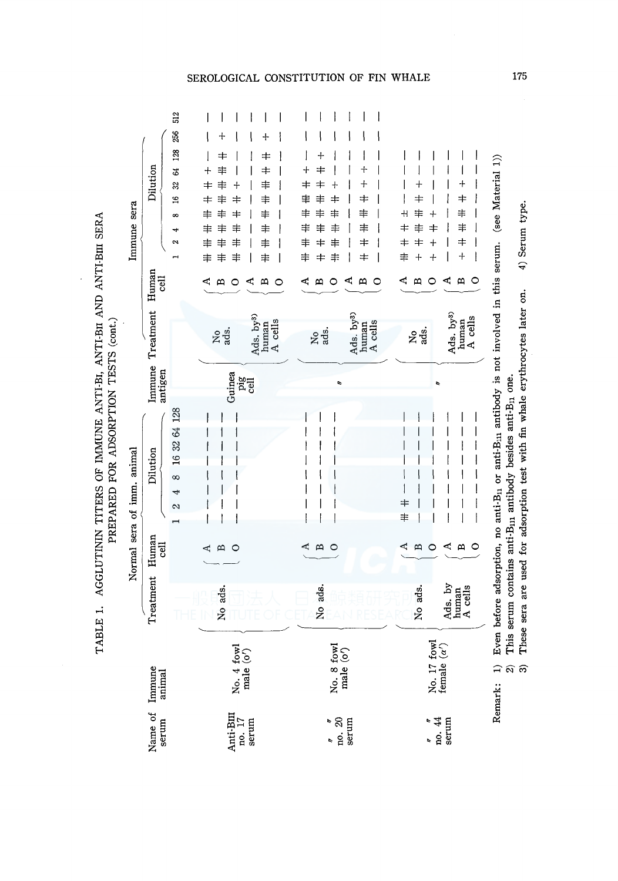TABLE 1. AGGLUTININ TITERS OF IMMUNE ANTI-BI, ANTI-BII AND ANTI-BIII SERA TABLE 1. AGGLUTININ TITERS OF IMMUNE ANTI-BI, ANTI-Bn AND ANTI-Biii SERA PREPARED FOR ADSORPTION TESTS (cont.) PREPARED FOR ADSORPTION TESTS (cont.)

| Immune sera                | 512<br>256<br>128<br>Dilution<br>64<br>32<br>$\frac{6}{16}$<br>œ<br>4<br>N<br>Human<br><b>Gell</b> | ╇<br>╪<br>╪<br>$\,+\,$<br>丰<br>╪<br>丰<br>╪<br>丰<br>╪<br>丰<br>丰<br>⇉<br>丰<br>丰<br>圭<br>丰<br>丰<br>≢<br>丰<br>≢<br>丰<br>≢<br>≢<br>丰<br>≢<br>≢<br>丰<br>⊲<br>⋖<br>≃<br>$\mathbf{a}$<br>0<br>0 | ╉<br>┿<br>≠<br>$\ddagger$<br>丰<br>$\overline{\phantom{a}}$<br>丰<br>$\pm$<br>\$<br>≢<br>丰<br>丰<br>丰<br>丰<br>丰<br>丰<br>丰<br>≢<br>$\,{}^+$<br>≢<br>≠<br>丰<br>丰<br>$\pm$<br>≢<br>⋖<br>w<br>$\circ$<br>⋖<br>B<br>0 | (see Material 1))<br>+<br>$\hspace{0.1mm}$<br>$\,{}^+$<br>$\pm$<br>≢<br>╫<br>丰<br>┥<br>丰<br>丰<br>╪<br>$\ddagger$<br>╪<br>┽<br>$+$<br>丰<br>╃<br>Þ,<br>4<br>$\mathbf{\underline{\alpha}}$<br>$\circ$<br>≏<br>C |
|----------------------------|----------------------------------------------------------------------------------------------------|-----------------------------------------------------------------------------------------------------------------------------------------------------------------------------------------|---------------------------------------------------------------------------------------------------------------------------------------------------------------------------------------------------------------|--------------------------------------------------------------------------------------------------------------------------------------------------------------------------------------------------------------|
|                            | Treatment                                                                                          | Ads. by <sup>3)</sup><br>human<br>A cells<br><b>Page</b>                                                                                                                                | Ads. by <sup>3)</sup><br>human<br>A cells<br>No <sub>s</sub> .                                                                                                                                                | Ads. by <sup>3)</sup><br>human<br>A cells<br>ខ្លុង៉ូ                                                                                                                                                         |
|                            | Immune<br>antigen                                                                                  | Guinea<br>pig<br>cell                                                                                                                                                                   | r,                                                                                                                                                                                                            | r,                                                                                                                                                                                                           |
| Normal sera of imm. animal | 16 32 64 128<br>Dilution<br>∞<br>4<br>2                                                            |                                                                                                                                                                                         |                                                                                                                                                                                                               | Even before adsorption, no anti-B <sub>11</sub> or anti-B <sub>11</sub> antibody is not involved in this serum.<br>$\ddagger$<br>$\ddagger$                                                                  |
|                            | Human<br><b>Fig</b>                                                                                | $\mathbf{\Omega}$<br>$\circ$<br>⋖                                                                                                                                                       | $\mathbf{\Omega}$<br>$\circ$<br>c                                                                                                                                                                             | d<br>ď<br>$\circ$<br>$\mathbf{m}$<br>ω<br>O                                                                                                                                                                  |
|                            | Treatment                                                                                          | No ads.                                                                                                                                                                                 | No ads.                                                                                                                                                                                                       | Ads. by<br>No ads.<br>human<br>A cells                                                                                                                                                                       |
|                            | Immune<br>animal                                                                                   | No. $4$ fowl<br>male $(o')$                                                                                                                                                             | No. 8 fowl<br>male $\langle o' \rangle$                                                                                                                                                                       | No. 17 fowl<br>female $(\alpha')$<br>Remark: 1)                                                                                                                                                              |
|                            | Name of<br>serum                                                                                   | $\begin{array}{ll} \text{Anti-BIII} \\ \text{no. 17} \\ \text{serum} \end{array}$                                                                                                       | $\frac{100}{3}$ . 20<br>Þ<br>ı,                                                                                                                                                                               | $\frac{r}{100}$ . 44<br>serum                                                                                                                                                                                |

Remark: 1) Even before adsorption, no anti-B11 or anti-Bm antibody is not involved in this serum. (see Material 1)) 4) Serum type. ប្ដុំ These sera are used for adsorption test with fin whale erythrocytes later on. myolved in ŕ novem betore adsorption, no anti-pin or anti-pin antipody is a real finite serum contains anti-B<sub>in</sub> antibody besides anti-B<sub>in</sub> one. 2) This serum contains anti-B<sub>11</sub> antibody besides anti-B<sub>11</sub> one. anu-b<sub>il</sub> or anu-bill anu å berore adsorption, <u>-</u><br>- ବ ଜ NGHIAI A.

3) These sera are used for adsorption test with fin whale erythrocytes later on. 4) Serum type.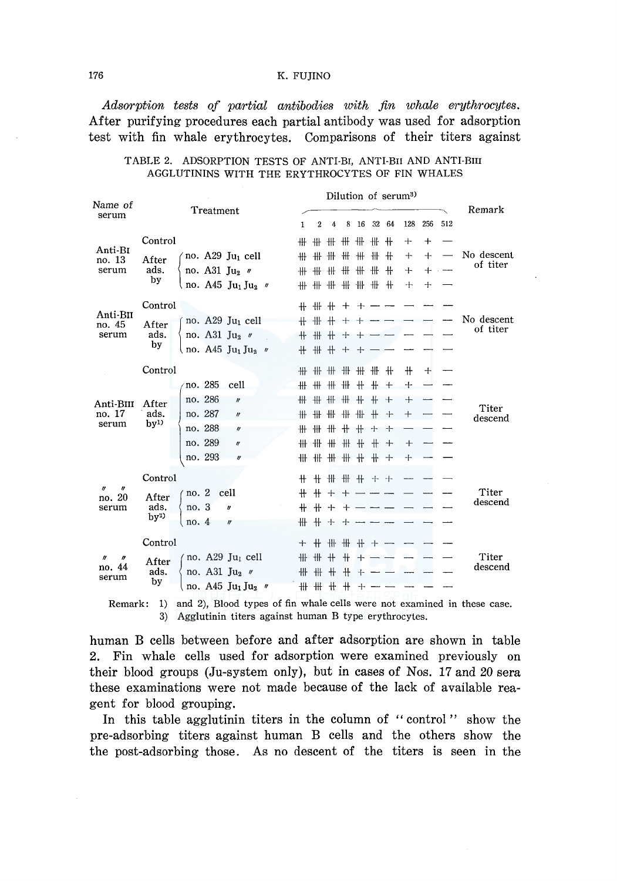*Adsorption tests of partial antibodies with fin whale erythrocytes.*  After purifying procedures each partial antibody was used for adsorption test with fin whale erythrocytes. Comparisons of their titers against

| Name of           |                 |         |         |                                                        |                     |        |          | Dilution of serum <sup>3)</sup> |         |       |                       |       |     |           |            |                                                                                    |  |
|-------------------|-----------------|---------|---------|--------------------------------------------------------|---------------------|--------|----------|---------------------------------|---------|-------|-----------------------|-------|-----|-----------|------------|------------------------------------------------------------------------------------|--|
| serum             | Treatment       |         |         |                                                        |                     |        |          | 4                               | 8       | 16    |                       | 32 64 | 128 | 256       | 512        | Remark                                                                             |  |
|                   | Control         |         |         |                                                        |                     | 1<br>₩ | 2<br>$+$ |                                 | ₩ ₩     |       | ₩ ₩                   | ᆞ 卄   | ┿   | $\ddot{}$ |            |                                                                                    |  |
| Anti-BI           |                 |         |         |                                                        |                     | ╫      | 卌        | 卌                               | ₩       | ₩     | #                     | $+$   | ╈   | $+$       |            | No descent                                                                         |  |
| no. 13<br>serum   | After<br>ads.   |         |         | no. A29 $Ju_1$ cell<br>no. A31 $\text{Ju}_2$ /         |                     | ╫      | #        |                                 | ₩ ₩     |       | ₩ ₩                   | $+$   | $+$ | $+$       | $\sim$ $-$ | of titer                                                                           |  |
|                   | by              |         |         | no. A45 $Ju_1 Ju_2$ "                                  |                     |        |          |                                 |         |       | <b>## ## ## ## ##</b> |       | ⊹   | $+$       |            |                                                                                    |  |
|                   |                 |         |         |                                                        |                     |        |          |                                 |         |       |                       |       |     |           |            |                                                                                    |  |
| Anti-BII          | Control         |         |         |                                                        |                     |        |          |                                 |         | ┿     |                       |       |     |           |            |                                                                                    |  |
| no. 45            | After           |         |         | no. $A29$ Ju <sub>1</sub> cell                         |                     |        | + + +    |                                 |         |       |                       |       |     |           |            | No descent<br>of titer                                                             |  |
| serum             | ads.<br>by      |         |         | no. A31 Ju <sub>2</sub> $\theta$                       |                     | 卄      | #        |                                 | $+ +$   | ┿     |                       |       |     |           |            |                                                                                    |  |
|                   |                 |         |         | no. A45 Ju <sub>1</sub> Ju <sub>2</sub> $''$           |                     |        | + + + +  |                                 |         | ⊹     |                       |       |     |           |            |                                                                                    |  |
|                   | Control         |         |         |                                                        |                     |        |          |                                 |         |       |                       |       | $+$ | $+$       |            |                                                                                    |  |
|                   |                 |         | no. 285 | cell                                                   |                     |        |          |                                 |         |       | <b>## ## ## #+ ++</b> |       | $+$ |           |            |                                                                                    |  |
| Anti-BIII         |                 | After   |         | no. 286                                                | $\boldsymbol{\eta}$ |        |          | ₩ ₩                             | ##      |       |                       | + + + |     | $+$       |            |                                                                                    |  |
| no. 17            | ads.            |         | no. 287 | $\mathbf{r}$                                           |                     | ₩      | 卌        |                                 | ₩ ₩     | ##    |                       | $+$   | $+$ |           |            | Titer<br>descend                                                                   |  |
| serum             | by <sup>1</sup> |         | no. 288 | $\boldsymbol{r}$                                       |                     | ₩      | ╫        |                                 | $# +$   | $+ +$ |                       | $+$   |     |           |            |                                                                                    |  |
|                   |                 |         | no. 289 | $\eta$                                                 |                     | ╫      | ╫        |                                 | ##      | $+$   | $+$                   | $+$   | ⊹   |           |            |                                                                                    |  |
|                   |                 |         | no. 293 | $\theta$                                               |                     |        |          |                                 |         |       |                       |       | ┿   |           |            |                                                                                    |  |
|                   | Control         |         |         |                                                        |                     | ╫      | $+$      |                                 |         |       | # # # + +             |       |     |           |            |                                                                                    |  |
| n<br>IJ           |                 | no.2    |         | cell                                                   |                     | $+$    |          | $+ +$                           | $\pm$   |       |                       |       |     |           |            | Titer                                                                              |  |
| no. 20<br>serum   | After<br>ads.   | no. 3   |         | n                                                      |                     | $+$    |          | $+ +$                           | $+$ $-$ |       |                       |       |     |           |            | descend                                                                            |  |
|                   | by <sup>2</sup> | no. $4$ |         | $\eta$                                                 |                     | ╫      |          |                                 | + + + - |       |                       |       |     |           |            |                                                                                    |  |
|                   |                 |         |         |                                                        |                     |        |          |                                 |         |       |                       |       |     |           |            |                                                                                    |  |
|                   | Control         |         |         |                                                        |                     |        | $+$ $+$  |                                 |         |       | + + + + + +           |       |     |           |            |                                                                                    |  |
| n<br>17<br>no. 44 | After           |         |         | no. A29 $Ju1$ cell                                     |                     |        | ₩ ₩      | $+$                             | $+$     | $+$   |                       |       |     |           |            | Titer<br>descend                                                                   |  |
| serum             | ads.<br>by      |         |         | no. A31 Ju <sub>2</sub> //                             |                     |        | ## ## #  |                                 | $+$     | $+$   |                       |       |     |           |            |                                                                                    |  |
|                   |                 |         |         | no. A45 Ju <sub>1</sub> Ju <sub>2</sub> $\prime\prime$ |                     |        | *****    |                                 |         | $+$   |                       |       |     |           |            |                                                                                    |  |
|                   |                 |         |         |                                                        |                     |        |          |                                 |         |       |                       |       |     |           |            | Remark: 1) and 2), Blood types of fin whale cells were not examined in these case. |  |

### TABLE 2. ADSORPTION TESTS OF ANTI-BI, ANTI-BII AND ANTI-BIII AGGLUTININS WITH THE ERYTHROCYTES OF FIN WHALES

3) Agglutinin titers against human B type erythrocytes.

human B cells between before and after adsorption are shown in table 2. Fin whale cells used for adsorption were examined previously on their blood groups (Ju-system only), but in cases of Nos. 17 and 20 sera these examinations were not made because of the lack of available reagent for blood grouping.

In this table agglutinin titers in the column of "control" show the pre-adsorbing titers against human B cells and the others show the the post-adsorbing those. As no descent of the titers is seen in the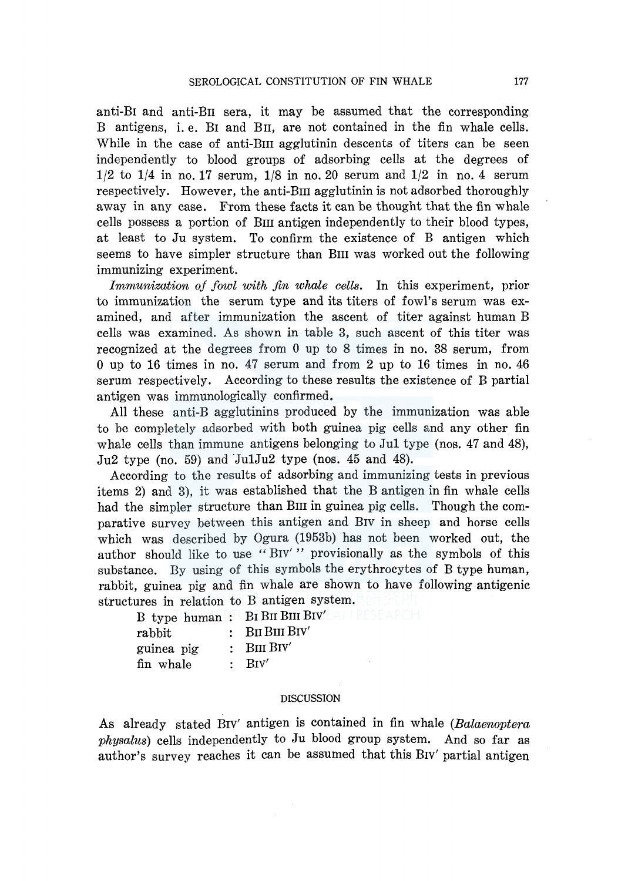anti-BI and anti-Bn sera, it may be assumed that the corresponding B antigens, i. e. BI and Bn, are not contained in the fin whale cells. While in the case of anti-BIII agglutinin descents of titers can be seen independently to blood groups of adsorbing cells at the degrees of  $1/2$  to  $1/4$  in no. 17 serum,  $1/8$  in no. 20 serum and  $1/2$  in no. 4 serum respectively. However, the anti-Bm agglutinin is not adsorbed thoroughly away in any case. From these facts it can be thought that the fin whale cells possess a portion of Bm antigen independently to their blood types, at least to Ju system. To confirm the existence of B antigen which seems to have simpler structure than BIII was worked out the following immunizing experiment.

*Immunization of fowl with fin whale cells.* In this experiment, prior to immunization the serum type and its titers of fowl's serum was examined, and after immunization the ascent of titer against human B cells was examined. As shown in table 3, such ascent of this titer was recognized at the degrees from 0 up to 8 times in no. 38 serum, from 0 up to 16 times in no. 47 serum and from 2 up to 16 times in no. 46 serum respectively. According to these results the existence of B partial antigen was immunologically confirmed.

All these anti-B agglutinins produced by the immunization was able to be completely adsorbed with both guinea pig cells and any other fin whale cells than immune antigens belonging to Jul type (nos. 47 and 48),  $Ju2$  type (no. 59) and  $Ju1Ju2$  type (nos. 45 and 48).

According to the results of adsorbing and immunizing tests in previous items 2) and 3), it was established that the B antigen in fin whale cells had the simpler structure than BIII in guinea pig cells. Though the comparative survey between this antigen and BIV in sheep and horse cells which was described by Ogura (1953b) has not been worked out, the author should like to use "BIV'" provisionally as the symbols of this substance. By using of this symbols the erythrocytes of B type human, rabbit, guinea pig and fin whale are shown to have following antigenic structures in relation to B antigen system.

 $B$  type human :  $B$ I BII BIII BIV'

| rabbit     | $\therefore$ BII BIII BIV' |
|------------|----------------------------|
| guinea pig | $\therefore$ BIII BIV'     |
| fin whale  | $:$ Biv'                   |

#### DISCUSSION

As already stated BIV' antigen is contained in fin whale *(Balaenoptera physalus)* cells independently to Ju blood group system. And so far as author's survey reaches it can be assumed that this BIV' partial antigen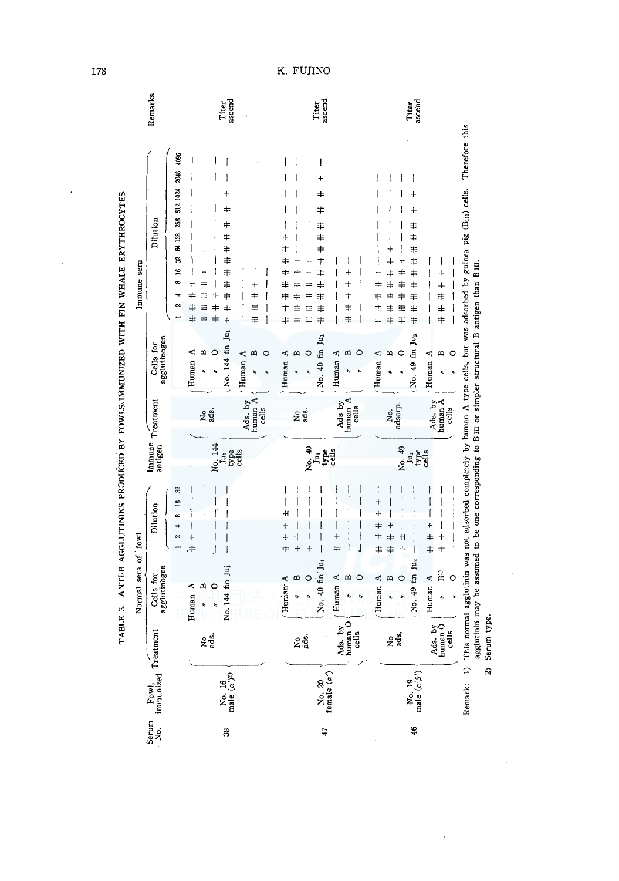| TABLE 3. ANTIB AGGLUTININS PRODUCED BY FOWLS IMMUNIZED WITH FIN WHALE ERYTHROCYTES<br>Immune sera | Remarks<br>Dilution<br>agglutinogen<br>Cells for | 4096<br>2048<br>512 1024<br>256<br>64 128<br>웒<br>16<br>œ<br>\$<br>╪<br>≢<br>Z<br>丰<br>≢<br>≢<br>≢<br>丰<br>Human A<br>$\mathbf{a}$<br>O | Titer<br>ascend<br>⇆<br>丰<br>#<br>≢<br>≢<br>#<br>≢<br>≢<br>$\pm$<br>≢<br>4<br>≢<br>No. 144 fin Ju1<br>m<br>$\circ$<br>Human A | ascend<br>Titer<br>≢<br>≢<br>丰<br>≢<br>≠<br>≢<br>\$<br>≢<br>≠<br>≢<br>丰<br>≢<br>丰<br>丰<br>≢<br>丰<br>丰<br>丰<br>≢<br>丰<br>丰<br>No. 40 fin Ju1<br>Human A<br>≏ | ≠<br>≢<br>≢<br>$\circ$<br>罒<br>Human A      | Titer<br>ascend<br>+<br>$\ddagger$<br>丰<br>≢<br>丰<br>≢<br>+<br>丰<br>≢<br>≠<br>丰<br>丰<br>⇟<br>丰<br>丰<br>丰<br>丰<br>丰<br>丰<br>≢<br>丰<br>#<br>丰<br>丰<br>丰<br>No. 49 fin Ju <sub>2</sub><br>0<br>Human A<br>∞ | 4<br>≢<br>≢<br>丰<br>m<br>Human A  |
|---------------------------------------------------------------------------------------------------|--------------------------------------------------|-----------------------------------------------------------------------------------------------------------------------------------------|-------------------------------------------------------------------------------------------------------------------------------|-------------------------------------------------------------------------------------------------------------------------------------------------------------|---------------------------------------------|----------------------------------------------------------------------------------------------------------------------------------------------------------------------------------------------------------|-----------------------------------|
|                                                                                                   | Immune Treatment<br>antigen                      | ខ្លួ<br>ខ្លួ<br>No. 144<br>Jur                                                                                                          | Ads. by<br>human A<br>cells<br>type<br>cells                                                                                  | 2g.<br>No. 40<br>Ę                                                                                                                                          | Ads by<br>human A<br>cells<br>type<br>cells | No.<br>adsorp.<br>No. 49<br>Ju <sub>2</sub><br>type<br>cells                                                                                                                                             | Ads. by<br>human A<br>cells       |
|                                                                                                   | Dilution                                         | ౢ<br>$\overline{16}$<br>œ<br>$\sim$<br>$\ddot{}$<br>≑,                                                                                  |                                                                                                                               | ዛ<br>$\ddot{}$<br>$^{+}$<br>$\pm$<br>$\boldsymbol{+}$<br>$\ddot{\text{}}$                                                                                   | $\ddot{}$<br>#                              | ۰H<br>4<br>╪<br>丰<br>٠H<br>≠<br>丰<br>#<br>$+$                                                                                                                                                            | 4<br>$\pm$<br>4<br>≢<br>$\ddot{}$ |
| Normal sera of fowl                                                                               | agglutinogen<br>Cells for                        | m<br>$\circ$<br>Human A                                                                                                                 | No. 144 fin Jui                                                                                                               | No. 40 fin Ju1<br>$\mathbf{z}$<br>Human A                                                                                                                   | / Human A<br>m<br>$\circ$                   | No. 49 fin Ju <sub>2</sub><br>Human A<br>m<br>0                                                                                                                                                          | $\widehat{\mathbf{B}}$<br>Human A |
|                                                                                                   |                                                  | 2g.                                                                                                                                     |                                                                                                                               | ខ្លុង្គ                                                                                                                                                     | Ads. by $sum_{\text{cells}}$                | <u>ខ្លួរ</u> ្នឹ                                                                                                                                                                                         | Ads. by<br>human O<br>cells       |
|                                                                                                   | Fowl,<br>immunized Treatment                     |                                                                                                                                         | No. 16<br>male $(\alpha')^{2\rangle}$                                                                                         | No. 20<br>female $\langle \alpha' \rangle$                                                                                                                  |                                             | No. 19<br>male $(\alpha'\beta')$                                                                                                                                                                         |                                   |
|                                                                                                   | Serum<br>No.                                     |                                                                                                                                         | 33                                                                                                                            | 47                                                                                                                                                          |                                             | 46                                                                                                                                                                                                       |                                   |

178

 $\ddot{\phantom{0}}$ 

K. FUJINO

2) Serum type.

 $\frac{1}{\sqrt{2}}$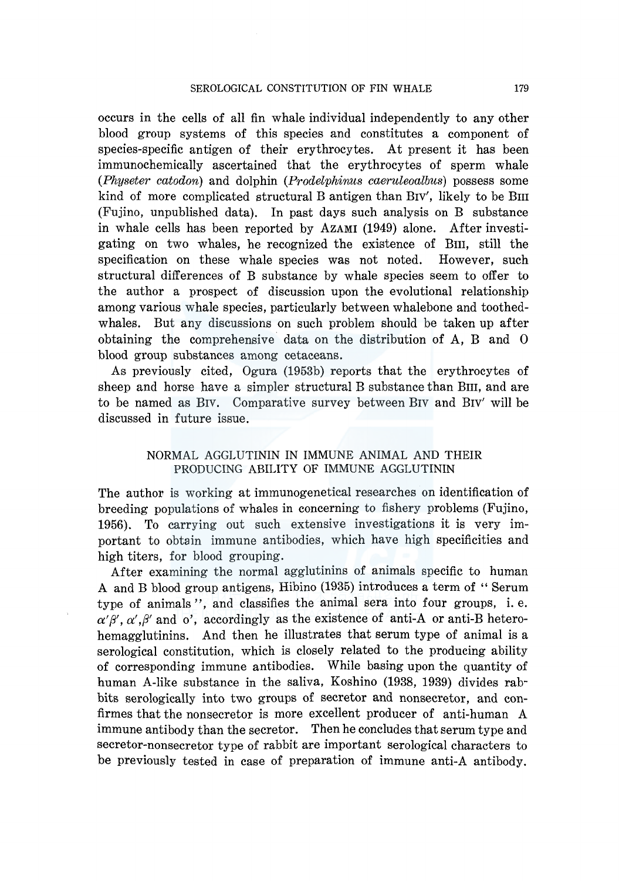occurs in the cells of all fin whale individual independently to any other blood group systems of this species and constitutes a component of species-specific antigen of their erythrocytes. At present it has been immunochemically ascertained that the erythrocytes of sperm whale *(Physeter catodon)* and dolphin *(Prodelphinus caeruleoalbus)* possess some kind of more complicated structural B antigen than Brv', likely to be Bm (Fujino, unpublished data). In past days such analysis on B substance in whale cells has been reported by AZAMI (1949) alone. After investigating on two whales, he recognized the existence of Bm, still the specification on these whale species was not noted. However, such structural differences of B substance by whale species seem to offer to the author a prospect of discussion upon the evolutional relationship among various whale species, particularly between whalebone and toothedwhales. But any discussions on such problem should be taken up after obtaining the comprehensive data on the distribution of A, B and 0 blood group substances among cetaceans.

As previously cited, Ogura (1953b) reports that the erythrocytes of sheep and horse have a simpler structural B substance than BIII, and are to be named as Brv. Comparative survey between Brv and Brv' will be discussed in future issue.

## NORMAL AGGLUTININ IN IMMUNE ANIMAL AND THEIR PRODUCING ABILITY OF IMMUNE AGGLUTININ

The author is working at immunogenetical researches on identification of breeding populations of whales in concerning to fishery problems (Fujino, 1956). To carrying out such extensive investigations it is very important to obtain immune antibodies, which have high specificities and high titers, for blood grouping.

After examining the normal agglutinins of animals specific to human A and B blood group antigens, Hibino (1935) introduces a term of '' Serum type of animals ", and classifies the animal sera into four groups, i. e.  $\alpha'\beta', \alpha', \beta'$  and  $\alpha'$ , accordingly as the existence of anti-A or anti-B heterohemagglutinins. And then he illustrates that serum type of animal is a serological constitution, which is closely related to the producing ability of corresponding immune antibodies. While basing upon the quantity of human A-like substance in the saliva, Koshino (1938, 1939) divides rabbits serologically into two groups of secretor and nonsecretor, and confirmes that the nonsecretor is more excellent producer of anti-human A immune antibody than the secretor. Then he concludes that serum type and secretor-nonsecretor type of rabbit are important serological characters to be previously tested in case of preparation of immune anti-A antibody.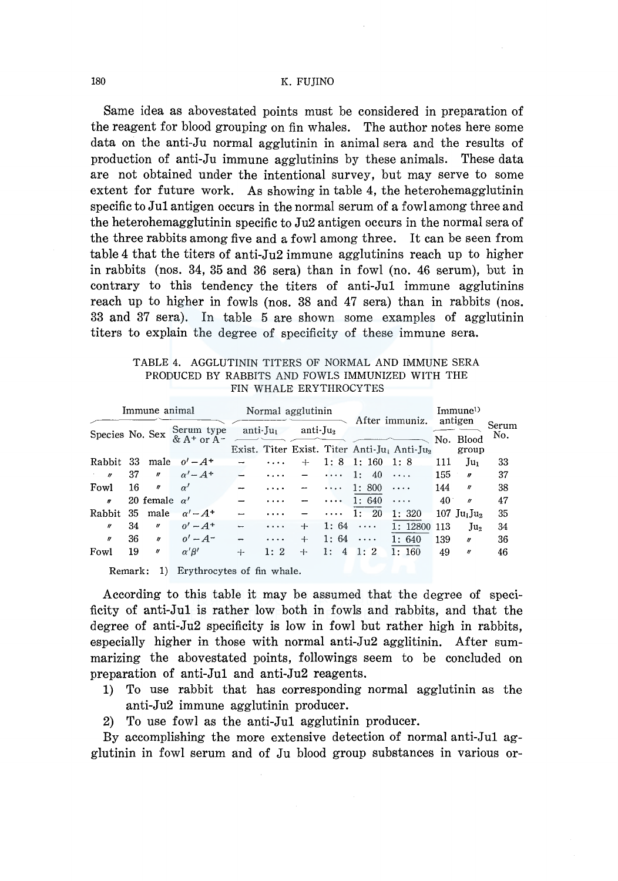Same idea as abovestated points must be considered in preparation of the reagent for blood grouping on fin whales. The author notes here some data on the anti-Ju normal agglutinin in animal sera and the results of production of anti-Ju immune agglutinins by these animals. These data are not obtained under the intentional survey, but may serve to some extent for future work. As showing in table 4, the heterohemagglutinin specific to **Jul** antigen occurs in the normal serum of a fowl among three and the heterohemagglutinin specific to Ju2 antigen occurs in the normal sera of the three rabbits among five and a fowl among three. It can be seen from table 4 that the titers of anti-Ju2 immune agglutinins reach up to higher in rabbits (nos. 34, 35 and 36 sera) than in fowl (no. 46 serum), but in contrary to this tendency the titers of anti-Jul immune agglutinins reach up to higher in fowls (nos. 38 and 47 sera) than in rabbits (nos. 33 and 37 sera). In table 5 are shown some examples of agglutinin titers to explain the degree of specificity of these immune sera.

|  |  |  |  |  |                        | TABLE 4. AGGLUTININ TITERS OF NORMAL AND IMMUNE SERA |  |
|--|--|--|--|--|------------------------|------------------------------------------------------|--|
|  |  |  |  |  |                        | PRODUCED BY RABBITS AND FOWLS IMMUNIZED WITH THE     |  |
|  |  |  |  |  | FIN WHALE ERYTHROCYTES |                                                      |  |

| Immune animal         |     |                     |                              |                          |                      | Normal agglutinin |          |                     | After immuniz.                              | Immune <sup>1</sup><br>antigen |                       |              |
|-----------------------|-----|---------------------|------------------------------|--------------------------|----------------------|-------------------|----------|---------------------|---------------------------------------------|--------------------------------|-----------------------|--------------|
| Species No. Sex       |     |                     | Serum type<br>$& A+$ or $A-$ |                          | anti-Ju <sub>l</sub> | anti-J $u_2$      |          |                     | Exist. Titer Exist. Titer Anti-Ju, Anti-Ju, |                                | No. Blood<br>group    | Serum<br>No. |
| Rabbit                | -33 |                     | male $o' - A^+$              | $\overline{\phantom{0}}$ | $\cdots$             | $+$               |          | $1: 8 \quad 1: 160$ | 1:8                                         | 111                            | Ju <sub>1</sub>       | 33           |
| $\boldsymbol{\prime}$ | 37  | $^{\prime\prime}$   | $\alpha' - A^+$              |                          | $\cdots$             |                   | $\cdots$ | 1:<br>-40           | $\cdots$                                    | 155                            | $\boldsymbol{r}$      | 37           |
| Fowl                  | 16  | IJ                  | $\alpha'$                    | $\rightarrow$            |                      |                   | $\cdots$ | 1:800               | $\cdots$                                    | 144                            | $\mathbf{r}$          | 38           |
| $\boldsymbol{r}$      |     | 20 female $\alpha'$ |                              | $\overline{\phantom{0}}$ |                      |                   | $\cdots$ | 1:640               | $\cdots$                                    | 40                             | $\boldsymbol{\eta}$   | 47           |
| Rabbit                | 35  | male                | $\alpha' - A^+$              | $\overline{\phantom{0}}$ | $\cdots$             |                   | $\cdots$ | 1:20                | 1:320                                       |                                | 107 $Ju_1Ju_2$        | 35           |
| $\boldsymbol{H}$      | 34  | $^{\prime\prime}$   | $0' - A^{+}$                 | ÷                        |                      | +                 | 1:64     | $\cdots$            | 1:12800                                     | 113                            | Ju <sub>2</sub>       | 34           |
| $\boldsymbol{y}$      | 36  | $\boldsymbol{v}$    | $o' - A^{-}$                 | $\overline{\phantom{0}}$ | $\cdots$             | $+$               | 1:64     | $\cdots$            | 1:640                                       | 139                            | $\boldsymbol{H}$      | 36           |
| Fowl                  | 19  | $\eta$              | $\alpha' \beta'$             | $+$                      | 1:2                  | $+$               | 1:<br>4  | 1:2                 | 1:160                                       | 49                             | $\boldsymbol{\theta}$ | 46           |

Remark: 1) Erythrocytes of fin whale.

According to this table it may be assumed that the degree of specificity of anti-Jul is rather low both in fowls and rabbits, and that the degree of anti-Ju2 specificity is low in fowl but rather high in rabbits, especially higher in those with normal anti-Ju2 agglitinin. After summarizing the abovestated points, followings seem to be concluded on preparation of anti-Jul and anti-Ju2 reagents.

- **1)** To use rabbit that has corresponding normal agglutinin as the anti-Ju2 immune agglutinin producer.
- 2) To use fowl as the anti-Jul agglutinin producer.

By accomplishing the more extensive detection of normal anti-Jul agglutinin in fowl serum and of Ju blood group substances in various or-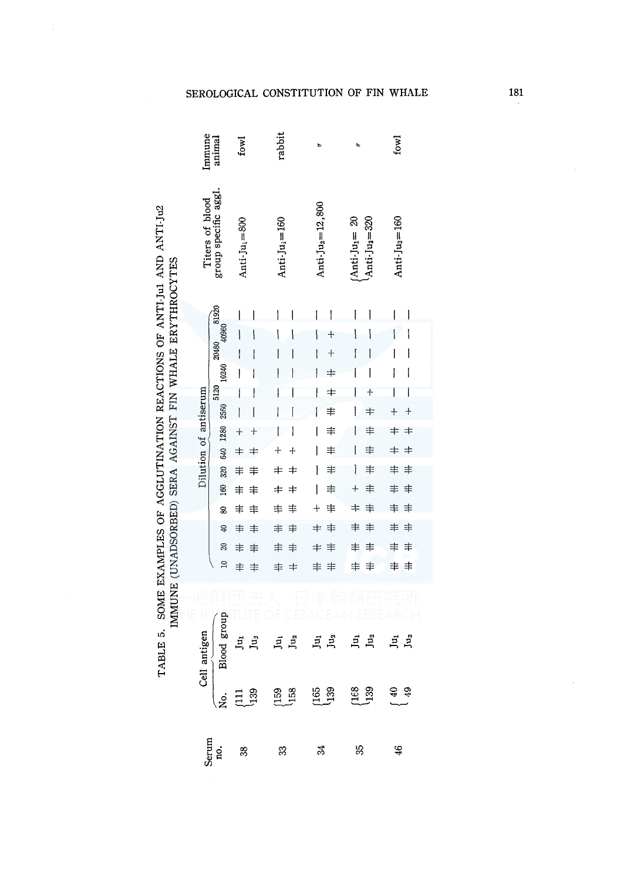| TABLE 5. SOME EXAMPLES OF AGGLUTINATION REACTIONS OF ANTI-Jul AND ANTI-Ju2 | IMMUNE (UNADSORBED) SERA AGAINST FIN WHALE ERYTHROCYTES |
|----------------------------------------------------------------------------|---------------------------------------------------------|
|                                                                            |                                                         |

|                       | Immune<br>anima<br>$_{\text{fowl}}$ |                                                                                                                                                                                                                                                                                                                                                                                                                                                              | rabbit                       | t,                             |                                                            | fowl                |
|-----------------------|-------------------------------------|--------------------------------------------------------------------------------------------------------------------------------------------------------------------------------------------------------------------------------------------------------------------------------------------------------------------------------------------------------------------------------------------------------------------------------------------------------------|------------------------------|--------------------------------|------------------------------------------------------------|---------------------|
| Titers of blood       | group specific aggl.                | Anti-Ju $_i = 800$                                                                                                                                                                                                                                                                                                                                                                                                                                           | Anti-Ju $_i = 160$           | Anti-Ju <sub>2</sub> =12,800   | $(Anti$ -Ju <sub>1</sub> = 20<br>Anti-Ju <sub>2</sub> =320 | Anti-J $u_2$ =160   |
|                       | 81920                               | I<br>I                                                                                                                                                                                                                                                                                                                                                                                                                                                       | I                            | I<br>$\overline{\mathfrak{l}}$ | I<br>1                                                     | I<br>l              |
|                       | 40960                               | ١                                                                                                                                                                                                                                                                                                                                                                                                                                                            | ١                            | ١<br>┿                         | Į                                                          | l<br>١              |
|                       | 20480                               | I<br>ł                                                                                                                                                                                                                                                                                                                                                                                                                                                       | I                            | $^{+}$                         | ſ<br>I                                                     | I<br>I              |
|                       | 10240                               | I<br>۱                                                                                                                                                                                                                                                                                                                                                                                                                                                       | l                            | ł<br>$\pm$                     | I<br>I                                                     | I<br>I              |
|                       | 5120                                | $\overline{\mathsf{I}}$<br>l                                                                                                                                                                                                                                                                                                                                                                                                                                 | I                            | $\pm$<br>Į                     | I<br>$\ddag$                                               | I<br>I              |
|                       | 2560                                | I                                                                                                                                                                                                                                                                                                                                                                                                                                                            | I                            | $\ddagger$<br>l                | $\pm$                                                      | $\ddot{}$<br>$+$    |
|                       | 1280                                | $\ddot{}$<br>$\overline{+}$                                                                                                                                                                                                                                                                                                                                                                                                                                  | ۱<br>I                       | $\ddagger$<br>I                | ≢<br>I                                                     | $\ddagger$<br>$\pm$ |
| Dilution of antiserum | 640                                 | $\pm$<br>$\pm$                                                                                                                                                                                                                                                                                                                                                                                                                                               | $\ddot{}$<br>┿               | ≢<br>l                         | ≢                                                          | $\pm$<br>≠          |
|                       | 320                                 | ≢<br>≢                                                                                                                                                                                                                                                                                                                                                                                                                                                       | ≠<br>$\pm$                   | ≢<br>I                         | 丰<br>Ì                                                     | 丰<br>丰              |
|                       | 160                                 | ≢<br>≢                                                                                                                                                                                                                                                                                                                                                                                                                                                       | $\ddagger$<br>$\ddagger$     | ≢<br>I                         | ≢<br>$\ddag$                                               | ≢<br>≢              |
|                       | 8                                   | ≢<br>≢                                                                                                                                                                                                                                                                                                                                                                                                                                                       | 丰<br>丰                       | ≢<br>┿                         | 丰<br>$\ddagger$                                            | 丰<br>≢              |
|                       | ₽                                   | 丰<br>丰                                                                                                                                                                                                                                                                                                                                                                                                                                                       | 丰<br>丰                       | 丰<br>≠                         | 丰<br>≢                                                     | 丰<br>丰              |
|                       | R                                   | ≢<br>≢                                                                                                                                                                                                                                                                                                                                                                                                                                                       | 丰<br>≢                       | $\pm$<br>丰                     | ≢<br>$\ddagger$                                            | ≢<br>≢              |
|                       | $\Xi$                               | ≢<br>≢                                                                                                                                                                                                                                                                                                                                                                                                                                                       | 丰<br>$\pm$                   | ≢<br>丰                         | 丰<br>丰                                                     | 丰<br>丰              |
|                       |                                     |                                                                                                                                                                                                                                                                                                                                                                                                                                                              |                              |                                |                                                            |                     |
| antigen               | Blood group                         | Ju<br>Ju,                                                                                                                                                                                                                                                                                                                                                                                                                                                    | Ju <sub>2</sub>              | Ju <sub>2</sub><br>Ju          | $\vec{p}$<br>L <sup>2</sup>                                | Iu <sub>2</sub>     |
|                       |                                     | $\begin{tabular}{c} \multicolumn{1}{c}{\text{Cell}} \\ \multicolumn{1}{c}{No.} \\ \multicolumn{1}{c}{No.} \\ \multicolumn{1}{c}{\text{[111]} \\ \multicolumn{1}{c}{\text{[111]} \\ \multicolumn{1}{c}{\text{[121]} \\ \multicolumn{1}{c}{\text{[139]} \\ \multicolumn{1}{c}{\text{[119]} \\ \multicolumn{1}{c}{\text{[119]} \\ \multicolumn{1}{c}{\text{[119]} \\ \multicolumn{1}{c}{\text{[119]} \\ \multicolumn{1}{c}{\text{[110]} \\ \multicolumn{1}{c}{$ | <sub>158</sub><br>បាន<br>បាន |                                | $\begin{array}{c} 1.68 \\ 1.39 \end{array}$                |                     |
|                       | Serum<br>no.                        | -88                                                                                                                                                                                                                                                                                                                                                                                                                                                          | 33                           | 24                             | 55                                                         | $\ddot{ }$          |

# SEROLOGICAL CONSTITUTION OF FIN WHALE

181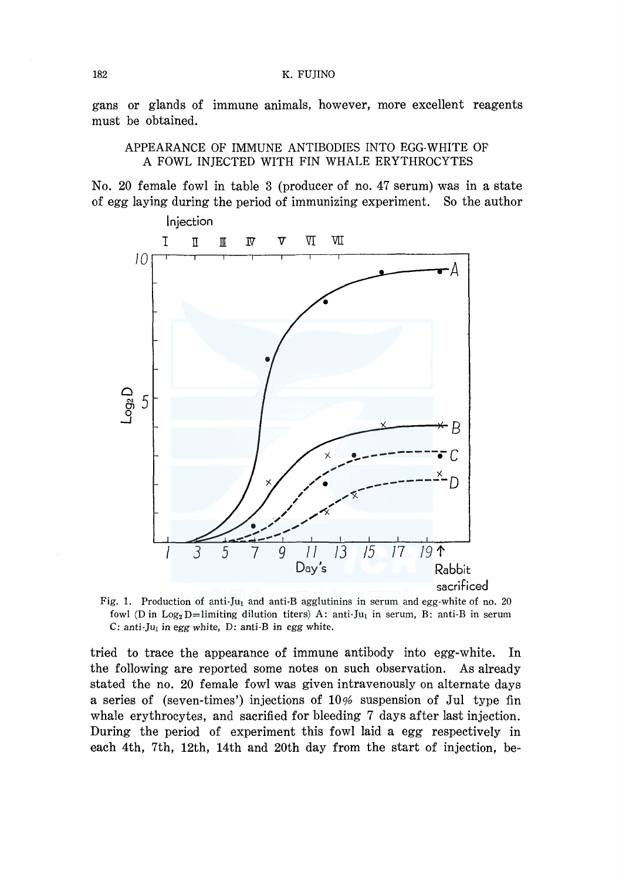gans or glands of immune animals, however, more excellent reagents must be obtained.

APPEARANCE OF IMMUNE ANTIBODIES INTO EGG-WHITE OF A FOWL INJECTED WITH FIN WHALE ERYTHROCYTES

No. 20 female fowl in table 3 (producer of no. 47 serum) was in a state of egg laying during the period of immunizing experiment. So the author



Fig. 1. Production of anti-Ju<sub>1</sub> and anti-B agglutinins in serum and egg-white of no. 20 fowl (D in  $Log_2 D=$ limiting dilution titers) A: anti-Ju<sub>1</sub> in serum, B: anti-B in serum C: anti-J $u_1$  in egg white, D: anti-B in egg white.

tried to trace the appearance of immune antibody into egg-white. In the following are reported some notes on such observation. As already stated the no. 20 female fowl was given intravenously on alternate days a series of (seven-times') injections of  $10\%$  suspension of Jul type fin whale erythrocytes, and sacrified for bleeding 7 days after last injection. During the period of experiment this fowl laid a egg respectively in each 4th, 7th, 12th, 14th and 20th day from the start of injection, be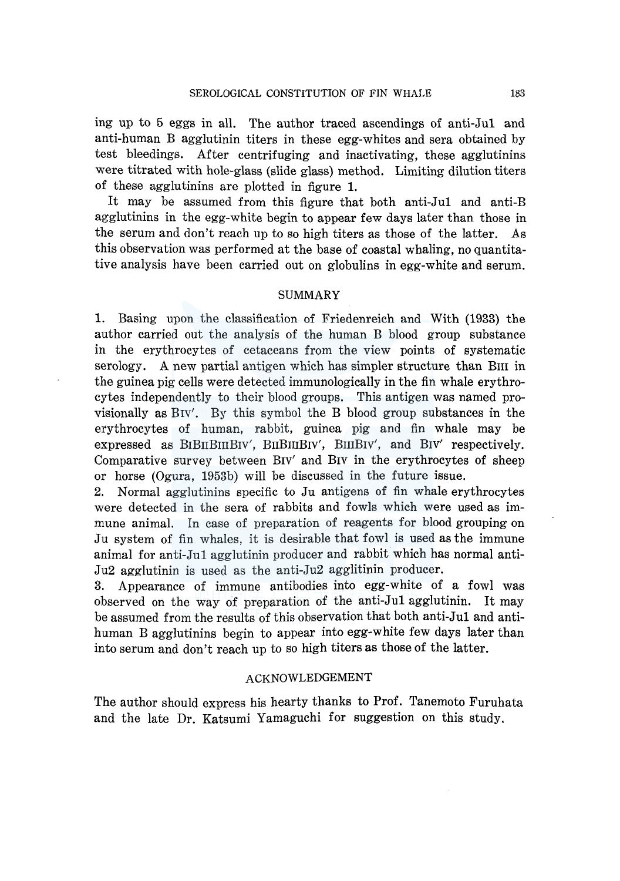ing up to 5 eggs in all. The author traced ascendings of anti-Jul and anti-human B agglutinin titers in these egg-whites and sera obtained by test bleedings. After centrifuging and inactivating, these agglutinins were titrated with hole-glass (slide glass) method. Limiting dilution titers of these agglutinins are plotted in figure 1.

It may be assumed from this figure that both anti-Jul and anti-B agglutinins in the egg-white begin to appear few days later than those in the serum and don't reach up to so high titers as those of the latter. As this observation was performed at the base of coastal whaling, no quantitative analysis have been carried out on globulins in egg-white and serum.

#### SUMMARY

1. Basing upon the classification of Friedenreich and With (1933) the author carried out the analysis of the human B blood group substance in the erythrocytes of cetaceans from the view points of systematic serology. A new partial antigen which has simpler structure than Bm in the guinea pig cells were detected immunologically in the fin whale erythrocytes independently to their blood groups. This antigen was named provisionally as Brv'. By this symbol the B blood group substances in the erythrocytes of human, rabbit, guinea pig and fin whale may be expressed as BIBIIBIIIBIV', BIIBIIIBIV', BIIIBIV', and BIV' respectively. Comparative survey between Brv' and Brv in the erythrocytes of sheep or horse (Ogura, 1953b) will be discussed in the future issue.

2. Normal agglutinins specific to Ju antigens of fin whale erythrocytes were detected in the sera of rabbits and fowls which were used as immune animal. In case of preparation of reagents for blood grouping on Ju system of fin whales, it is desirable that fowl is used as the immune animal for anti-Jul agglutinin producer and rabbit which has normal anti-Ju2 agglutinin is used as the anti-Ju2 agglitinin producer.

3. Appearance of immune antibodies into egg-white of a fowl was observed on the way of preparation of the anti-Jul agglutinin. It may be assumed from the results of this observation that both anti-Jul and antihuman B agglutinins begin to appear into egg-white few days later than into serum and don't reach up to so high titers as those of the latter.

## ACKNOWLEDGEMENT

The author should express his hearty thanks to Prof. Tanemoto Furuhata and the late Dr. Katsumi Yamaguchi for suggestion on this study.